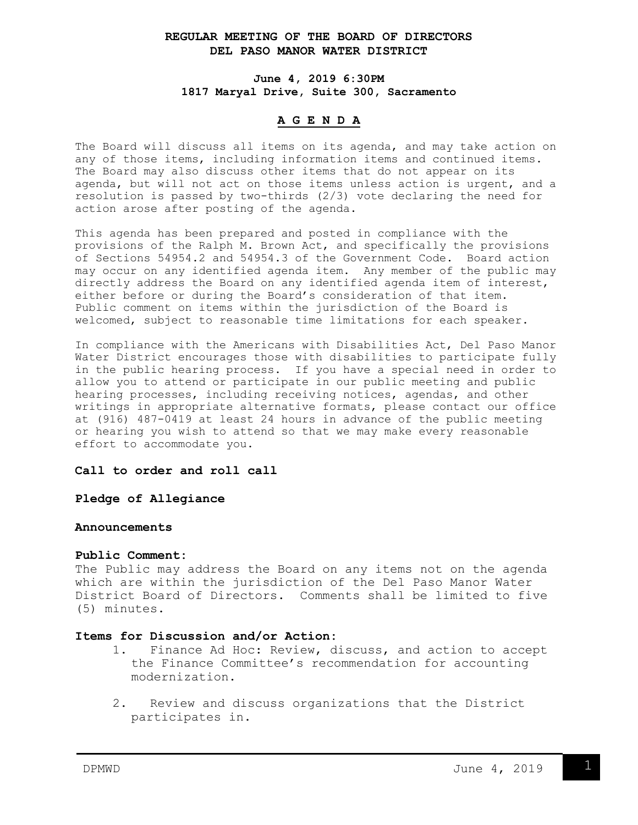## **REGULAR MEETING OF THE BOARD OF DIRECTORS DEL PASO MANOR WATER DISTRICT**

**June 4, 2019 6:30PM 1817 Maryal Drive, Suite 300, Sacramento**

# **A G E N D A**

The Board will discuss all items on its agenda, and may take action on any of those items, including information items and continued items. The Board may also discuss other items that do not appear on its agenda, but will not act on those items unless action is urgent, and a resolution is passed by two-thirds (2/3) vote declaring the need for action arose after posting of the agenda.

This agenda has been prepared and posted in compliance with the provisions of the Ralph M. Brown Act, and specifically the provisions of Sections 54954.2 and 54954.3 of the Government Code. Board action may occur on any identified agenda item. Any member of the public may directly address the Board on any identified agenda item of interest, either before or during the Board's consideration of that item. Public comment on items within the jurisdiction of the Board is welcomed, subject to reasonable time limitations for each speaker.

In compliance with the Americans with Disabilities Act, Del Paso Manor Water District encourages those with disabilities to participate fully in the public hearing process. If you have a special need in order to allow you to attend or participate in our public meeting and public hearing processes, including receiving notices, agendas, and other writings in appropriate alternative formats, please contact our office at (916) 487-0419 at least 24 hours in advance of the public meeting or hearing you wish to attend so that we may make every reasonable effort to accommodate you.

### **Call to order and roll call**

**Pledge of Allegiance**

### **Announcements**

### **Public Comment:**

The Public may address the Board on any items not on the agenda which are within the jurisdiction of the Del Paso Manor Water District Board of Directors. Comments shall be limited to five (5) minutes.

# **Items for Discussion and/or Action:**

- 1. Finance Ad Hoc: Review, discuss, and action to accept the Finance Committee's recommendation for accounting modernization.
- 2. Review and discuss organizations that the District participates in.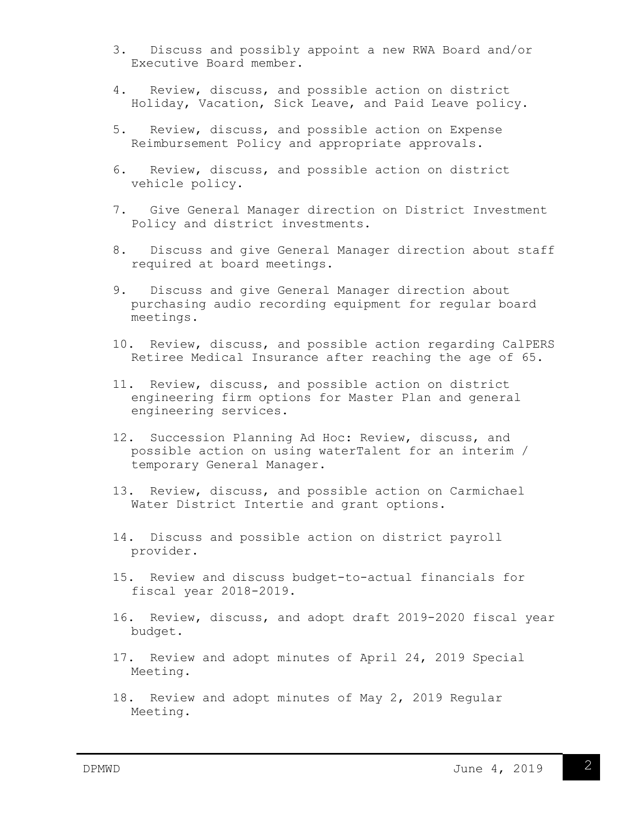- 3. Discuss and possibly appoint a new RWA Board and/or Executive Board member.
- 4. Review, discuss, and possible action on district Holiday, Vacation, Sick Leave, and Paid Leave policy.
- 5. Review, discuss, and possible action on Expense Reimbursement Policy and appropriate approvals.
- 6. Review, discuss, and possible action on district vehicle policy.
- 7. Give General Manager direction on District Investment Policy and district investments.
- 8. Discuss and give General Manager direction about staff required at board meetings.
- 9. Discuss and give General Manager direction about purchasing audio recording equipment for regular board meetings.
- 10. Review, discuss, and possible action regarding CalPERS Retiree Medical Insurance after reaching the age of 65.
- 11. Review, discuss, and possible action on district engineering firm options for Master Plan and general engineering services.
- 12. Succession Planning Ad Hoc: Review, discuss, and possible action on using waterTalent for an interim / temporary General Manager.
- 13. Review, discuss, and possible action on Carmichael Water District Intertie and grant options.
- 14. Discuss and possible action on district payroll provider.
- 15. Review and discuss budget-to-actual financials for fiscal year 2018-2019.
- 16. Review, discuss, and adopt draft 2019-2020 fiscal year budget.
- 17. Review and adopt minutes of April 24, 2019 Special Meeting.
- 18. Review and adopt minutes of May 2, 2019 Regular Meeting.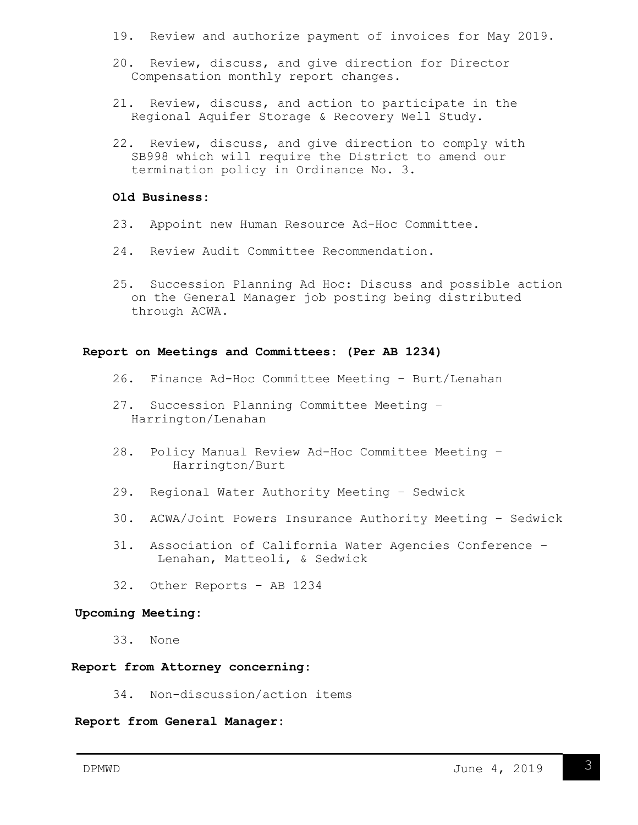- 19. Review and authorize payment of invoices for May 2019.
- 20. Review, discuss, and give direction for Director Compensation monthly report changes.
- 21. Review, discuss, and action to participate in the Regional Aquifer Storage & Recovery Well Study.
- 22. Review, discuss, and give direction to comply with SB998 which will require the District to amend our termination policy in Ordinance No. 3.

## **Old Business:**

- 23. Appoint new Human Resource Ad-Hoc Committee.
- 24. Review Audit Committee Recommendation.
- 25. Succession Planning Ad Hoc: Discuss and possible action on the General Manager job posting being distributed through ACWA.

#### **Report on Meetings and Committees: (Per AB 1234)**

- 26. Finance Ad-Hoc Committee Meeting Burt/Lenahan
- 27. Succession Planning Committee Meeting Harrington/Lenahan
- 28. Policy Manual Review Ad-Hoc Committee Meeting Harrington/Burt
- 29. Regional Water Authority Meeting Sedwick
- 30. ACWA/Joint Powers Insurance Authority Meeting Sedwick
- 31. Association of California Water Agencies Conference Lenahan, Matteoli, & Sedwick
- 32. Other Reports AB 1234

## **Upcoming Meeting:**

33. None

### **Report from Attorney concerning:**

34. Non-discussion/action items

## **Report from General Manager:**